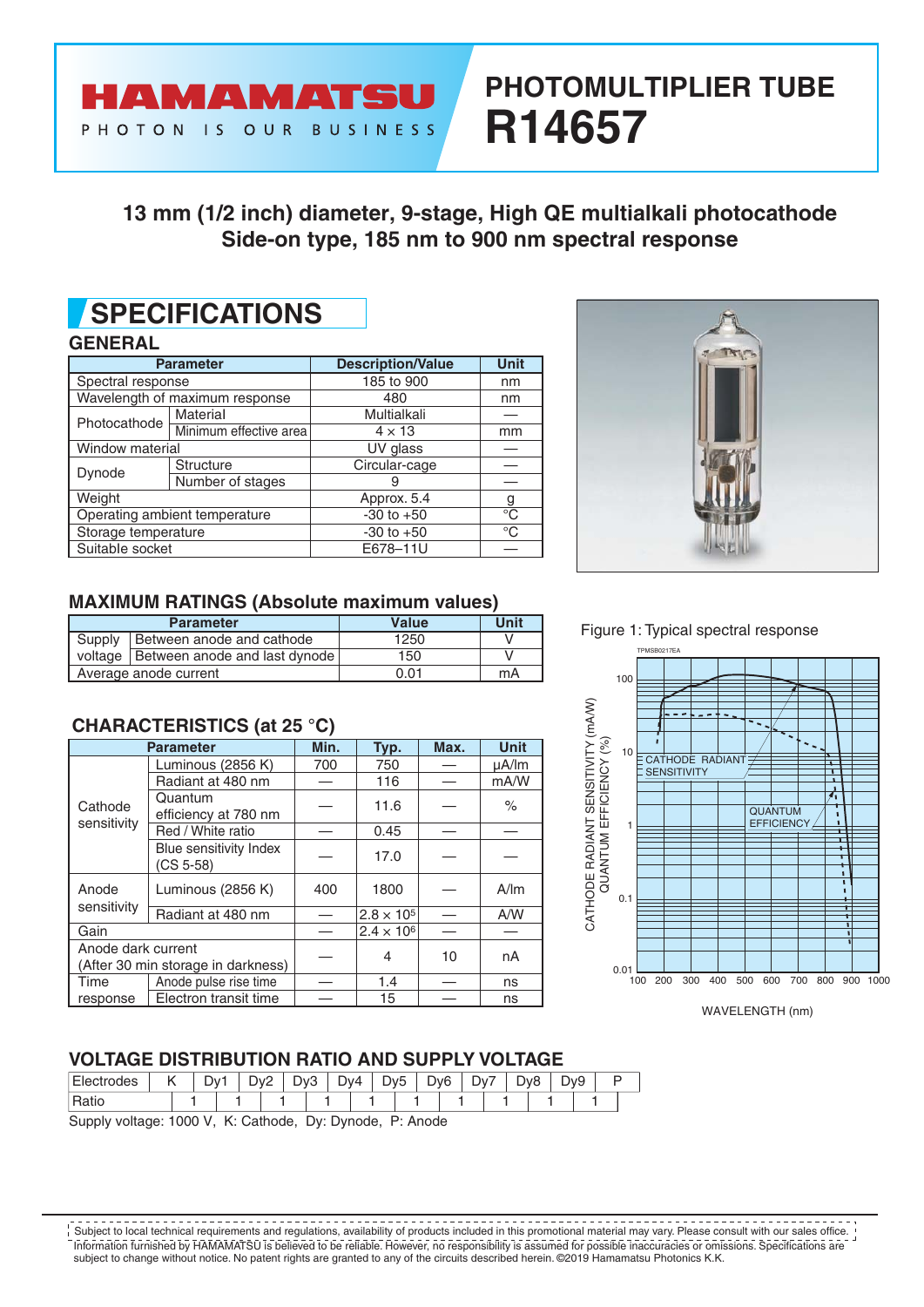# **PHOTOMULTIPLIER TUBE R14657**

### **13 mm (1/2 inch) diameter, 9-stage, High QE multialkali photocathode Side-on type, 185 nm to 900 nm spectral response**

## **SPECIFICATIONS**

#### **GENERAL**

| <b>Parameter</b>    |                                | <b>Description/Value</b> | <b>Unit</b> |  |
|---------------------|--------------------------------|--------------------------|-------------|--|
| Spectral response   |                                | 185 to 900               | nm          |  |
|                     | Wavelength of maximum response | 480                      | nm          |  |
| Photocathode        | Material                       | Multialkali              |             |  |
|                     | Minimum effective area         | $4 \times 13$            | mm          |  |
| Window material     | UV glass                       |                          |             |  |
|                     | <b>Structure</b>               | Circular-cage            |             |  |
| Dynode              | Number of stages               | 9                        |             |  |
| Weight              |                                | Approx. 5.4              | g           |  |
|                     | Operating ambient temperature  | $-30$ to $+50$           | °C          |  |
| Storage temperature |                                | $-30$ to $+50$           | $^{\circ}C$ |  |
| Suitable socket     |                                | E678-11U                 |             |  |

**AMAMATSU** 

PHOTON IS OUR BUSINESS



#### **MAXIMUM RATINGS (Absolute maximum values)**

|                                    | <b>Parameter</b>                        | <b>Value</b> | Unit |
|------------------------------------|-----------------------------------------|--------------|------|
| Supply   Between anode and cathode |                                         | 1250         |      |
|                                    | voltage   Between anode and last dynode | 150          |      |
| Average anode current              |                                         | 0.01         | mA   |

### **CHARACTERISTlCS (at 25 °C)**

|                      | <b>Parameter</b>                      | Min. | Typ.                | Max. | <b>Unit</b> |  |
|----------------------|---------------------------------------|------|---------------------|------|-------------|--|
|                      | Luminous (2856 K)                     | 700  | 750                 |      | µA/lm       |  |
|                      | Radiant at 480 nm                     |      | 116                 |      | mA/W        |  |
| Cathode              | Quantum<br>efficiency at 780 nm       |      | 11.6                |      | $\%$        |  |
| sensitivity          | Red / White ratio                     |      | 0.45                |      |             |  |
|                      | Blue sensitivity Index<br>$(CS 5-58)$ |      | 17.0                |      |             |  |
| Anode<br>sensitivity | Luminous (2856 K)                     | 400  | 1800                |      | A/m         |  |
|                      | Radiant at 480 nm                     |      | $2.8 \times 10^{5}$ |      | A/W         |  |
| Gain                 |                                       |      | $2.4 \times 10^{6}$ |      |             |  |
| Anode dark current   | (After 30 min storage in darkness)    |      | 4                   | 10   | nA          |  |
| Time                 | Anode pulse rise time                 |      | 1.4                 |      | ns          |  |
| response             | Electron transit time                 |      | 15                  |      | ns          |  |

#### Figure 1: Typical spectral response



#### **VOLTAGE DISTRIBUTION RATIO AND SUPPLY VOLTAGE**

| D, | FI.<br><b>UURS</b> | יי ש<br>ັ | ے | სა⊂ | Dv4 | $\overline{\phantom{0}}$<br>`V5<br>ັ | D <sub>v</sub> 6 | ⊃∨َ | $\nabla v$ | Dv9 |  |
|----|--------------------|-----------|---|-----|-----|--------------------------------------|------------------|-----|------------|-----|--|
|    |                    |           |   |     |     |                                      |                  |     |            |     |  |

Supply voltage: 1000 V, K: Cathode, Dy: Dynode, P: Anode

Information furnished by HAMAMATSU is believed to be reliable. However, no responsibility is assumed for possible inaccuracies or omissions. Specifications are subject to change without notice. No patent rights are granted to any of the circuits described herein. ©2019 Hamamatsu Photonics K.K. Subject to local technical requirements and regulations, availability of products included in this promotional material may vary. Please consult with our sales office.